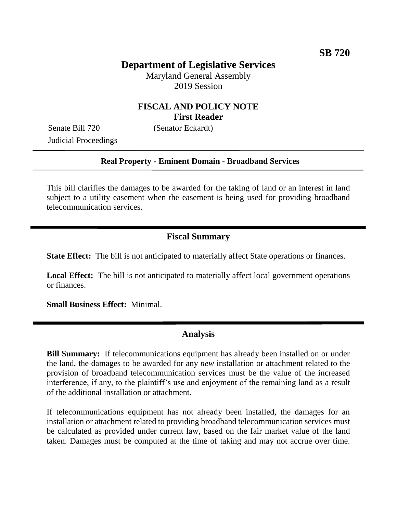# **Department of Legislative Services**

Maryland General Assembly 2019 Session

## **FISCAL AND POLICY NOTE First Reader**

Senate Bill 720 (Senator Eckardt) Judicial Proceedings

#### **Real Property - Eminent Domain - Broadband Services**

This bill clarifies the damages to be awarded for the taking of land or an interest in land subject to a utility easement when the easement is being used for providing broadband telecommunication services.

### **Fiscal Summary**

**State Effect:** The bill is not anticipated to materially affect State operations or finances.

**Local Effect:** The bill is not anticipated to materially affect local government operations or finances.

**Small Business Effect:** Minimal.

#### **Analysis**

**Bill Summary:** If telecommunications equipment has already been installed on or under the land, the damages to be awarded for any *new* installation or attachment related to the provision of broadband telecommunication services must be the value of the increased interference, if any, to the plaintiff's use and enjoyment of the remaining land as a result of the additional installation or attachment.

If telecommunications equipment has not already been installed, the damages for an installation or attachment related to providing broadband telecommunication services must be calculated as provided under current law, based on the fair market value of the land taken. Damages must be computed at the time of taking and may not accrue over time.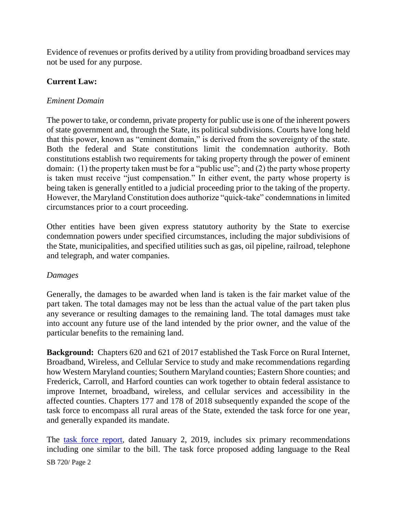Evidence of revenues or profits derived by a utility from providing broadband services may not be used for any purpose.

## **Current Law:**

### *Eminent Domain*

The power to take, or condemn, private property for public use is one of the inherent powers of state government and, through the State, its political subdivisions. Courts have long held that this power, known as "eminent domain," is derived from the sovereignty of the state. Both the federal and State constitutions limit the condemnation authority. Both constitutions establish two requirements for taking property through the power of eminent domain: (1) the property taken must be for a "public use"; and (2) the party whose property is taken must receive "just compensation." In either event, the party whose property is being taken is generally entitled to a judicial proceeding prior to the taking of the property. However, the Maryland Constitution does authorize "quick-take" condemnations in limited circumstances prior to a court proceeding.

Other entities have been given express statutory authority by the State to exercise condemnation powers under specified circumstances, including the major subdivisions of the State, municipalities, and specified utilities such as gas, oil pipeline, railroad, telephone and telegraph, and water companies.

#### *Damages*

Generally, the damages to be awarded when land is taken is the fair market value of the part taken. The total damages may not be less than the actual value of the part taken plus any severance or resulting damages to the remaining land. The total damages must take into account any future use of the land intended by the prior owner, and the value of the particular benefits to the remaining land.

**Background:** Chapters 620 and 621 of 2017 established the Task Force on Rural Internet, Broadband, Wireless, and Cellular Service to study and make recommendations regarding how Western Maryland counties; Southern Maryland counties; Eastern Shore counties; and Frederick, Carroll, and Harford counties can work together to obtain federal assistance to improve Internet, broadband, wireless, and cellular services and accessibility in the affected counties. Chapters 177 and 178 of 2018 subsequently expanded the scope of the task force to encompass all rural areas of the State, extended the task force for one year, and generally expanded its mandate.

SB 720/ Page 2 The [task force report,](https://rural.maryland.gov/wp-content/uploads/sites/4/2019/01/2018_MSAR11544_Task-Force-for-Rural-Internet-Broadband-Wireless-and-Cellular-Service-Report-1.pdf) dated January 2, 2019, includes six primary recommendations including one similar to the bill. The task force proposed adding language to the Real